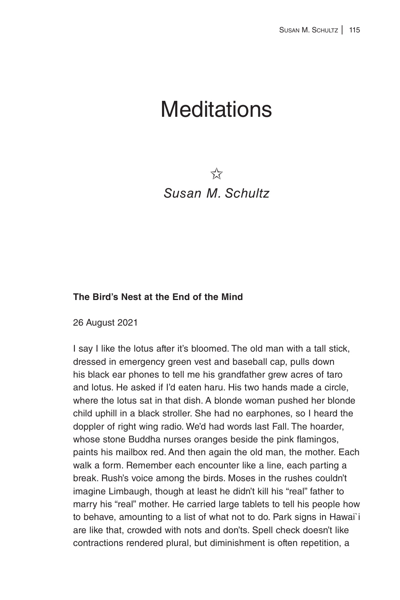# **Meditations**

 $5\frac{1}{2}$ *Susan M. Schultz*

#### **The Bird's Nest at the End of the Mind**

26 August 2021

I say I like the lotus after it's bloomed. The old man with a tall stick, dressed in emergency green vest and baseball cap, pulls down his black ear phones to tell me his grandfather grew acres of taro and lotus. He asked if I'd eaten haru. His two hands made a circle, where the lotus sat in that dish. A blonde woman pushed her blonde child uphill in a black stroller. She had no earphones, so I heard the doppler of right wing radio. We'd had words last Fall. The hoarder, whose stone Buddha nurses oranges beside the pink flamingos, paints his mailbox red. And then again the old man, the mother. Each walk a form. Remember each encounter like a line, each parting a break. Rush's voice among the birds. Moses in the rushes couldn't imagine Limbaugh, though at least he didn't kill his "real" father to marry his "real" mother. He carried large tablets to tell his people how to behave, amounting to a list of what not to do. Park signs in Hawai`i are like that, crowded with nots and don'ts. Spell check doesn't like contractions rendered plural, but diminishment is often repetition, a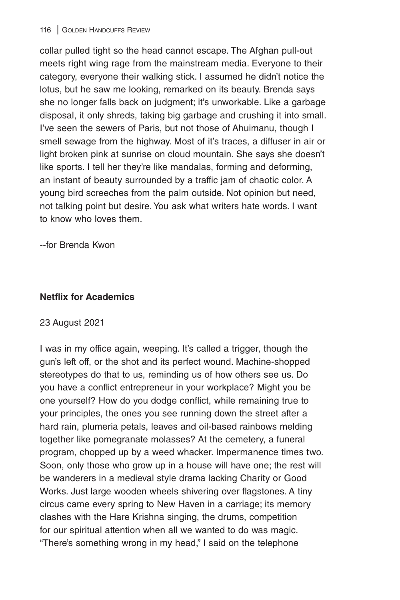collar pulled tight so the head cannot escape. The Afghan pull-out meets right wing rage from the mainstream media. Everyone to their category, everyone their walking stick. I assumed he didn't notice the lotus, but he saw me looking, remarked on its beauty. Brenda says she no longer falls back on judgment; it's unworkable. Like a garbage disposal, it only shreds, taking big garbage and crushing it into small. I've seen the sewers of Paris, but not those of Ahuimanu, though I smell sewage from the highway. Most of it's traces, a diffuser in air or light broken pink at sunrise on cloud mountain. She says she doesn't like sports. I tell her they're like mandalas, forming and deforming, an instant of beauty surrounded by a traffic jam of chaotic color. A young bird screeches from the palm outside. Not opinion but need, not talking point but desire. You ask what writers hate words. I want to know who loves them.

--for Brenda Kwon

## **Netflix for Academics**

#### 23 August 2021

I was in my office again, weeping. It's called a trigger, though the gun's left off, or the shot and its perfect wound. Machine-shopped stereotypes do that to us, reminding us of how others see us. Do you have a conflict entrepreneur in your workplace? Might you be one yourself? How do you dodge conflict, while remaining true to your principles, the ones you see running down the street after a hard rain, plumeria petals, leaves and oil-based rainbows melding together like pomegranate molasses? At the cemetery, a funeral program, chopped up by a weed whacker. Impermanence times two. Soon, only those who grow up in a house will have one; the rest will be wanderers in a medieval style drama lacking Charity or Good Works. Just large wooden wheels shivering over flagstones. A tiny circus came every spring to New Haven in a carriage; its memory clashes with the Hare Krishna singing, the drums, competition for our spiritual attention when all we wanted to do was magic. "There's something wrong in my head," I said on the telephone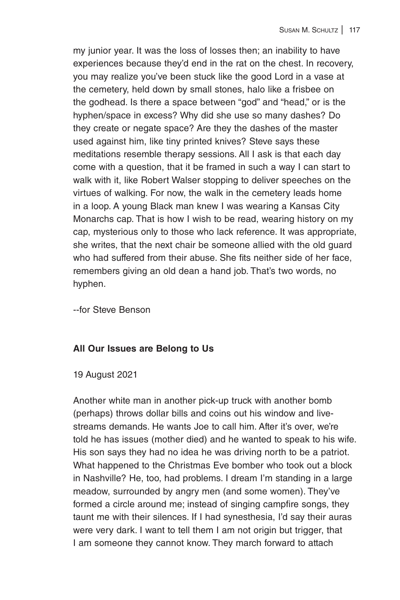my junior year. It was the loss of losses then; an inability to have experiences because they'd end in the rat on the chest. In recovery, you may realize you've been stuck like the good Lord in a vase at the cemetery, held down by small stones, halo like a frisbee on the godhead. Is there a space between "god" and "head," or is the hyphen/space in excess? Why did she use so many dashes? Do they create or negate space? Are they the dashes of the master used against him, like tiny printed knives? Steve says these meditations resemble therapy sessions. All I ask is that each day come with a question, that it be framed in such a way I can start to walk with it, like Robert Walser stopping to deliver speeches on the virtues of walking. For now, the walk in the cemetery leads home in a loop. A young Black man knew I was wearing a Kansas City Monarchs cap. That is how I wish to be read, wearing history on my cap, mysterious only to those who lack reference. It was appropriate, she writes, that the next chair be someone allied with the old guard who had suffered from their abuse. She fits neither side of her face, remembers giving an old dean a hand job. That's two words, no hyphen.

--for Steve Benson

#### **All Our Issues are Belong to Us**

19 August 2021

Another white man in another pick-up truck with another bomb (perhaps) throws dollar bills and coins out his window and livestreams demands. He wants Joe to call him. After it's over, we're told he has issues (mother died) and he wanted to speak to his wife. His son says they had no idea he was driving north to be a patriot. What happened to the Christmas Eve bomber who took out a block in Nashville? He, too, had problems. I dream I'm standing in a large meadow, surrounded by angry men (and some women). They've formed a circle around me; instead of singing campfire songs, they taunt me with their silences. If I had synesthesia, I'd say their auras were very dark. I want to tell them I am not origin but trigger, that I am someone they cannot know. They march forward to attach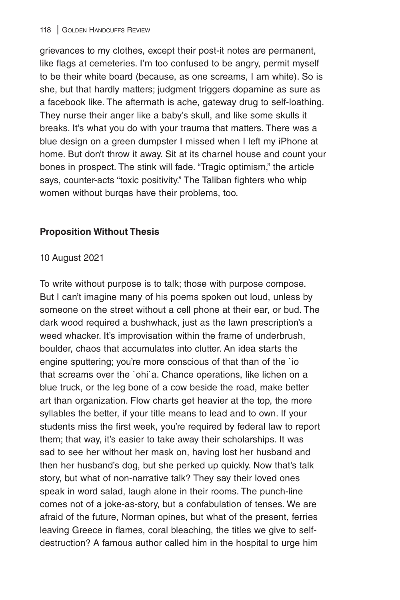grievances to my clothes, except their post-it notes are permanent, like flags at cemeteries. I'm too confused to be angry, permit myself to be their white board (because, as one screams, I am white). So is she, but that hardly matters; judgment triggers dopamine as sure as a facebook like. The aftermath is ache, gateway drug to self-loathing. They nurse their anger like a baby's skull, and like some skulls it breaks. It's what you do with your trauma that matters. There was a blue design on a green dumpster I missed when I left my iPhone at home. But don't throw it away. Sit at its charnel house and count your bones in prospect. The stink will fade. "Tragic optimism," the article says, counter-acts "toxic positivity." The Taliban fighters who whip women without burqas have their problems, too.

# **Proposition Without Thesis**

# 10 August 2021

To write without purpose is to talk; those with purpose compose. But I can't imagine many of his poems spoken out loud, unless by someone on the street without a cell phone at their ear, or bud. The dark wood required a bushwhack, just as the lawn prescription's a weed whacker. It's improvisation within the frame of underbrush, boulder, chaos that accumulates into clutter. An idea starts the engine sputtering; you're more conscious of that than of the `io that screams over the `ohi`a. Chance operations, like lichen on a blue truck, or the leg bone of a cow beside the road, make better art than organization. Flow charts get heavier at the top, the more syllables the better, if your title means to lead and to own. If your students miss the first week, you're required by federal law to report them; that way, it's easier to take away their scholarships. It was sad to see her without her mask on, having lost her husband and then her husband's dog, but she perked up quickly. Now that's talk story, but what of non-narrative talk? They say their loved ones speak in word salad, laugh alone in their rooms. The punch-line comes not of a joke-as-story, but a confabulation of tenses. We are afraid of the future, Norman opines, but what of the present, ferries leaving Greece in flames, coral bleaching, the titles we give to selfdestruction? A famous author called him in the hospital to urge him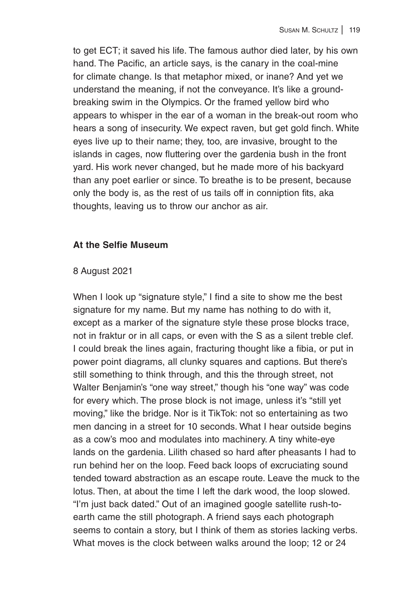to get ECT; it saved his life. The famous author died later, by his own hand. The Pacific, an article says, is the canary in the coal-mine for climate change. Is that metaphor mixed, or inane? And yet we understand the meaning, if not the conveyance. It's like a groundbreaking swim in the Olympics. Or the framed yellow bird who appears to whisper in the ear of a woman in the break-out room who hears a song of insecurity. We expect raven, but get gold finch. White eyes live up to their name; they, too, are invasive, brought to the islands in cages, now fluttering over the gardenia bush in the front yard. His work never changed, but he made more of his backyard than any poet earlier or since. To breathe is to be present, because only the body is, as the rest of us tails off in conniption fits, aka thoughts, leaving us to throw our anchor as air.

#### **At the Selfie Museum**

#### 8 August 2021

When I look up "signature style," I find a site to show me the best signature for my name. But my name has nothing to do with it, except as a marker of the signature style these prose blocks trace, not in fraktur or in all caps, or even with the S as a silent treble clef. I could break the lines again, fracturing thought like a fibia, or put in power point diagrams, all clunky squares and captions. But there's still something to think through, and this the through street, not Walter Benjamin's "one way street," though his "one way" was code for every which. The prose block is not image, unless it's "still yet moving," like the bridge. Nor is it TikTok: not so entertaining as two men dancing in a street for 10 seconds. What I hear outside begins as a cow's moo and modulates into machinery. A tiny white-eye lands on the gardenia. Lilith chased so hard after pheasants I had to run behind her on the loop. Feed back loops of excruciating sound tended toward abstraction as an escape route. Leave the muck to the lotus. Then, at about the time I left the dark wood, the loop slowed. "I'm just back dated." Out of an imagined google satellite rush-toearth came the still photograph. A friend says each photograph seems to contain a story, but I think of them as stories lacking verbs. What moves is the clock between walks around the loop; 12 or 24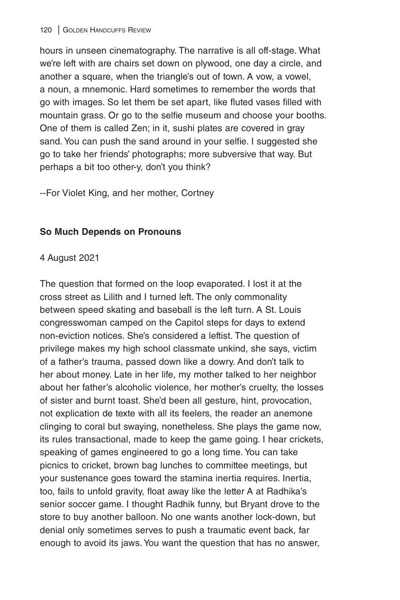hours in unseen cinematography. The narrative is all off-stage. What we're left with are chairs set down on plywood, one day a circle, and another a square, when the triangle's out of town. A vow, a vowel, a noun, a mnemonic. Hard sometimes to remember the words that go with images. So let them be set apart, like fluted vases filled with mountain grass. Or go to the selfie museum and choose your booths. One of them is called Zen; in it, sushi plates are covered in gray sand. You can push the sand around in your selfie. I suggested she go to take her friends' photographs; more subversive that way. But perhaps a bit too other-y, don't you think?

--For Violet King, and her mother, Cortney

# **So Much Depends on Pronouns**

### 4 August 2021

The question that formed on the loop evaporated. I lost it at the cross street as Lilith and I turned left. The only commonality between speed skating and baseball is the left turn. A St. Louis congresswoman camped on the Capitol steps for days to extend non-eviction notices. She's considered a leftist. The question of privilege makes my high school classmate unkind, she says, victim of a father's trauma, passed down like a dowry. And don't talk to her about money. Late in her life, my mother talked to her neighbor about her father's alcoholic violence, her mother's cruelty, the losses of sister and burnt toast. She'd been all gesture, hint, provocation, not explication de texte with all its feelers, the reader an anemone clinging to coral but swaying, nonetheless. She plays the game now, its rules transactional, made to keep the game going. I hear crickets, speaking of games engineered to go a long time. You can take picnics to cricket, brown bag lunches to committee meetings, but your sustenance goes toward the stamina inertia requires. Inertia, too, fails to unfold gravity, float away like the letter A at Radhika's senior soccer game. I thought Radhik funny, but Bryant drove to the store to buy another balloon. No one wants another lock-down, but denial only sometimes serves to push a traumatic event back, far enough to avoid its jaws. You want the question that has no answer,